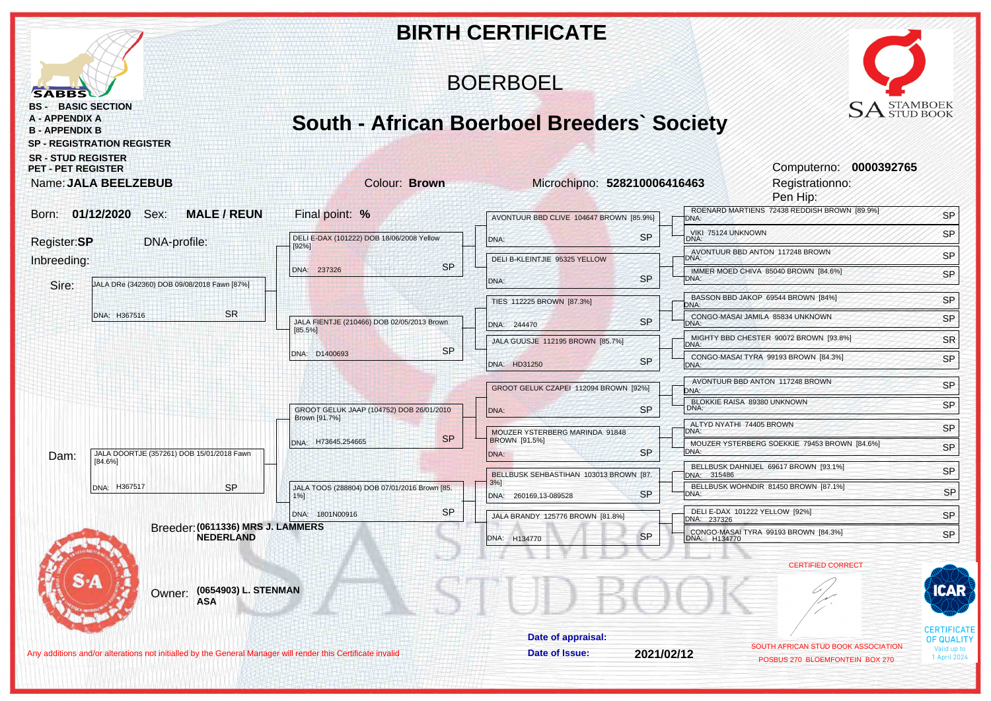|                                                                                                                                             |                                                           | <b>BIRTH CERTIFICATE</b>                               |                           |                                                                        |                                  |
|---------------------------------------------------------------------------------------------------------------------------------------------|-----------------------------------------------------------|--------------------------------------------------------|---------------------------|------------------------------------------------------------------------|----------------------------------|
| <b>SABBS</b>                                                                                                                                |                                                           | <b>BOERBOEL</b>                                        |                           |                                                                        |                                  |
| <b>BS - BASIC SECTION</b><br><b>A - APPENDIX A</b><br><b>B-APPENDIX B</b><br><b>SP - REGISTRATION REGISTER</b><br><b>SR - STUD REGISTER</b> | <b>South - African Boerboel Breeders' Society</b>         |                                                        |                           | $\mathop{\rm SA}\nolimits_\text{STUD BOOK}^{\text{STAMBOEK}}$          |                                  |
| <b>PET - PET REGISTER</b><br>Name: JALA BEELZEBUB                                                                                           | Colour: Brown                                             | Microchipno: 528210006416463                           |                           | Computerno: 0000392765<br>Registrationno:<br>Pen Hip:                  |                                  |
| 01/12/2020<br><b>MALE / REUN</b><br>Sex:<br>Born:                                                                                           | Final point: %                                            | AVONTUUR BBD CLIVE 104647 BROWN [85.9%]                | <b>DNA:</b>               | ROENARD MARTIENS 72438 REDDISH BROWN [89.9%]                           | SP                               |
| DNA-profile:                                                                                                                                | DELI E-DAX (101222) DOB 18/06/2008 Yellow                 | DNA:                                                   | <b>SP</b><br>DNA:         | VIKI 75124 UNKNOWN                                                     | SP                               |
| Register:SP                                                                                                                                 | [92%]                                                     | DELI B-KLEINTJIE 95325 YELLOW                          | DNA:                      | AVONTUUR BBD ANTON 117248 BROWN                                        | SP                               |
| Inbreeding:<br>JALA DRe (342360) DOB 09/08/2018 Fawn [87%]<br>Sire:                                                                         | <b>SP</b><br>DNA: 237326                                  | DNA:                                                   | <b>SP</b><br>DNA:         | IMMER MOED CHIVA 85040 BROWN [84.6%]                                   | SP                               |
|                                                                                                                                             |                                                           | TIES 112225 BROWN [87.3%]                              | DNA:                      | BASSON BBD JAKOP 69544 BROWN [84%]                                     | SP                               |
| <b>SR</b><br>DNA: H367516                                                                                                                   | JALA FIENTJE (210466) DOB 02/05/2013 Brown<br>$[85.5\%]$  | DNA: 244470                                            | <b>SP</b><br>DNA:         | CONGO-MASAI JAMILA 85834 UNKNOWN                                       | SP                               |
|                                                                                                                                             |                                                           | JALA GUUSJE 112195 BROWN [85.7%]                       | DNA:                      | MIGHTY BBD CHESTER 90072 BROWN [93.8%]                                 | SR                               |
|                                                                                                                                             | <b>SP</b><br>DNA: D1400693                                | DNA: HD31250                                           | <b>SP</b><br>DNA:         | CONGO-MASAI TYRA 99193 BROWN [84.3%]                                   | SP                               |
|                                                                                                                                             |                                                           | GROOT GELUK CZAPEI 112094 BROWN [92%]                  | DNA:                      | AVONTUUR BBD ANTON 117248 BROWN                                        | <b>SP</b>                        |
|                                                                                                                                             | GROOT GELUK JAAP (104752) DOB 26/01/2010<br>Brown [91.7%] | DNA:                                                   | <b>SP</b><br>DNA:         | BLOKKIE RAISA 89380 UNKNOWN                                            | SP                               |
|                                                                                                                                             | <b>SP</b>                                                 | MOUZER YSTERBERG MARINDA 91848<br><b>BROWN [91.5%]</b> | DNA:                      | ALTYD NYATHI 74405 BROWN                                               | <b>SP</b>                        |
| JALA DOORTJE (357261) DOB 15/01/2018 Fawn<br>Dam:                                                                                           | DNA: H73645,254665                                        | DNA:                                                   | <b>SP</b><br>DNA:         | MOUZER YSTERBERG SOEKKIE 79453 BROWN [84.6%]                           | SP                               |
| $[84.6\%]$                                                                                                                                  |                                                           | BELLBUSK SEHBASTIHAN 103013 BROWN [87.                 | DNA: 315486               | BELLBUSK DAHNIJEL 69617 BROWN [93.1%]                                  | SP                               |
| DNA: H367517<br><b>SP</b>                                                                                                                   | JALA TOOS (288804) DOB 07/01/2016 Brown [85.<br>$1%$ ]    | $3%$ ]<br>DNA: 260169,13-089528                        | <b>SP</b><br>DNA:         | BELLBUSK WOHNDIR 81450 BROWN [87.1%]                                   | <b>SP</b>                        |
|                                                                                                                                             | <b>SP</b><br>DNA: 1801N00916                              | JALA BRANDY 125776 BROWN [81.8%]                       | DNA: 237326               | DELI E-DAX 101222 YELLOW [92%]                                         | SP                               |
| Breeder: (0611336) MRS J. LAMMERS<br><b>NEDERLAND</b>                                                                                       |                                                           | DNA: H134770                                           | <b>SP</b><br>DNA: H134770 | CONGO-MASAI TYRA 99193 BROWN [84.3%]                                   | SP.                              |
|                                                                                                                                             |                                                           |                                                        |                           | <b>CERTIFIED CORRECT</b>                                               |                                  |
| (0654903) L. STENMAN<br>Owner:<br><b>ASA</b>                                                                                                |                                                           |                                                        |                           |                                                                        | CAR                              |
|                                                                                                                                             |                                                           | Date of appraisal:                                     |                           |                                                                        | <b>CERTIFICATE</b><br>OF QUALITY |
| Any additions and/or alterations not initialled by the General Manager will render this Certificate invalid                                 |                                                           | Date of Issue:                                         | 2021/02/12                | SOUTH AFRICAN STUD BOOK ASSOCIATION<br>POSBUS 270 BLOEMFONTEIN BOX 270 | alid up to<br>1 April 2024       |
|                                                                                                                                             |                                                           |                                                        |                           |                                                                        |                                  |